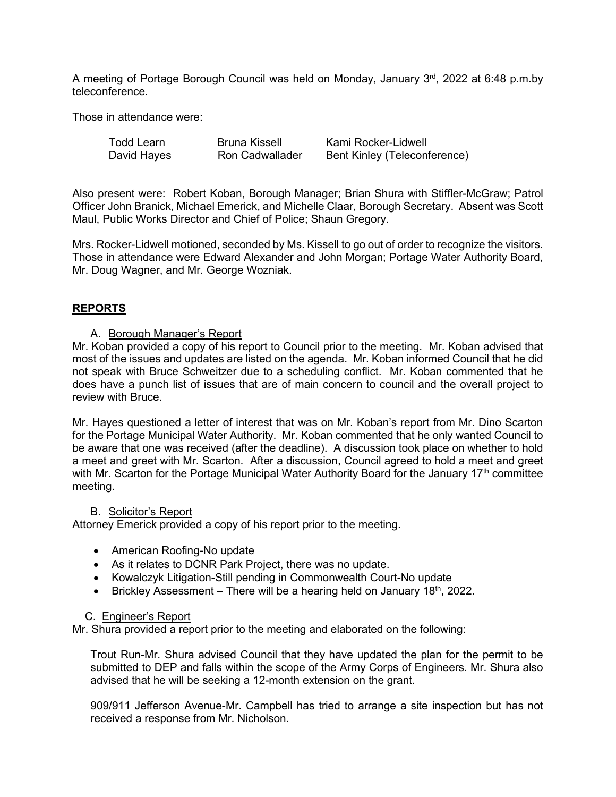A meeting of Portage Borough Council was held on Monday, January 3rd, 2022 at 6:48 p.m.by teleconference.

Those in attendance were:

| <b>Todd Learn</b> | Bruna Kissell          | Kami Rocker-Lidwell          |
|-------------------|------------------------|------------------------------|
| David Hayes       | <b>Ron Cadwallader</b> | Bent Kinley (Teleconference) |

Also present were: Robert Koban, Borough Manager; Brian Shura with Stiffler-McGraw; Patrol Officer John Branick, Michael Emerick, and Michelle Claar, Borough Secretary. Absent was Scott Maul, Public Works Director and Chief of Police; Shaun Gregory.

Mrs. Rocker-Lidwell motioned, seconded by Ms. Kissell to go out of order to recognize the visitors. Those in attendance were Edward Alexander and John Morgan; Portage Water Authority Board, Mr. Doug Wagner, and Mr. George Wozniak.

# **REPORTS**

# A. Borough Manager's Report

Mr. Koban provided a copy of his report to Council prior to the meeting. Mr. Koban advised that most of the issues and updates are listed on the agenda. Mr. Koban informed Council that he did not speak with Bruce Schweitzer due to a scheduling conflict. Mr. Koban commented that he does have a punch list of issues that are of main concern to council and the overall project to review with Bruce.

Mr. Hayes questioned a letter of interest that was on Mr. Koban's report from Mr. Dino Scarton for the Portage Municipal Water Authority. Mr. Koban commented that he only wanted Council to be aware that one was received (after the deadline). A discussion took place on whether to hold a meet and greet with Mr. Scarton. After a discussion, Council agreed to hold a meet and greet with Mr. Scarton for the Portage Municipal Water Authority Board for the January 17<sup>th</sup> committee meeting.

# B. Solicitor's Report

Attorney Emerick provided a copy of his report prior to the meeting.

- American Roofing-No update
- As it relates to DCNR Park Project, there was no update.
- Kowalczyk Litigation-Still pending in Commonwealth Court-No update
- Brickley Assessment There will be a hearing held on January  $18<sup>th</sup>$ , 2022.

#### C. Engineer's Report

Mr. Shura provided a report prior to the meeting and elaborated on the following:

Trout Run-Mr. Shura advised Council that they have updated the plan for the permit to be submitted to DEP and falls within the scope of the Army Corps of Engineers. Mr. Shura also advised that he will be seeking a 12-month extension on the grant.

909/911 Jefferson Avenue-Mr. Campbell has tried to arrange a site inspection but has not received a response from Mr. Nicholson.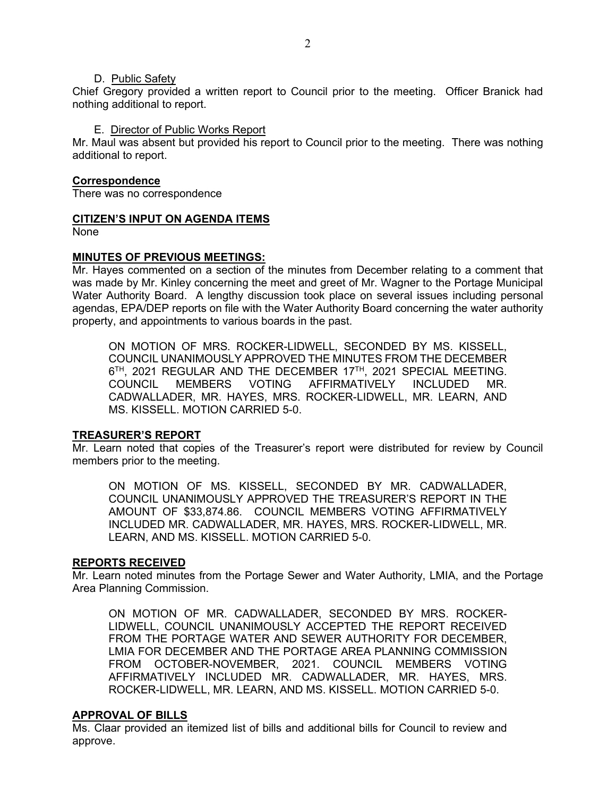### D. Public Safety

Chief Gregory provided a written report to Council prior to the meeting. Officer Branick had nothing additional to report.

## E. Director of Public Works Report

Mr. Maul was absent but provided his report to Council prior to the meeting. There was nothing additional to report.

## **Correspondence**

There was no correspondence

# **CITIZEN'S INPUT ON AGENDA ITEMS**

None

# **MINUTES OF PREVIOUS MEETINGS:**

Mr. Hayes commented on a section of the minutes from December relating to a comment that was made by Mr. Kinley concerning the meet and greet of Mr. Wagner to the Portage Municipal Water Authority Board. A lengthy discussion took place on several issues including personal agendas, EPA/DEP reports on file with the Water Authority Board concerning the water authority property, and appointments to various boards in the past.

ON MOTION OF MRS. ROCKER-LIDWELL, SECONDED BY MS. KISSELL, COUNCIL UNANIMOUSLY APPROVED THE MINUTES FROM THE DECEMBER 6<sup>TH</sup>, 2021 REGULAR AND THE DECEMBER 17<sup>TH</sup>, 2021 SPECIAL MEETING. COUNCIL MEMBERS VOTING AFFIRMATIVELY INCLUDED MR. CADWALLADER, MR. HAYES, MRS. ROCKER-LIDWELL, MR. LEARN, AND MS. KISSELL. MOTION CARRIED 5-0.

# **TREASURER'S REPORT**

Mr. Learn noted that copies of the Treasurer's report were distributed for review by Council members prior to the meeting.

ON MOTION OF MS. KISSELL, SECONDED BY MR. CADWALLADER, COUNCIL UNANIMOUSLY APPROVED THE TREASURER'S REPORT IN THE AMOUNT OF \$33,874.86. COUNCIL MEMBERS VOTING AFFIRMATIVELY INCLUDED MR. CADWALLADER, MR. HAYES, MRS. ROCKER-LIDWELL, MR. LEARN, AND MS. KISSELL. MOTION CARRIED 5-0.

#### **REPORTS RECEIVED**

Mr. Learn noted minutes from the Portage Sewer and Water Authority, LMIA, and the Portage Area Planning Commission.

ON MOTION OF MR. CADWALLADER, SECONDED BY MRS. ROCKER-LIDWELL, COUNCIL UNANIMOUSLY ACCEPTED THE REPORT RECEIVED FROM THE PORTAGE WATER AND SEWER AUTHORITY FOR DECEMBER, LMIA FOR DECEMBER AND THE PORTAGE AREA PLANNING COMMISSION FROM OCTOBER-NOVEMBER, 2021. COUNCIL MEMBERS VOTING AFFIRMATIVELY INCLUDED MR. CADWALLADER, MR. HAYES, MRS. ROCKER-LIDWELL, MR. LEARN, AND MS. KISSELL. MOTION CARRIED 5-0.

# **APPROVAL OF BILLS**

Ms. Claar provided an itemized list of bills and additional bills for Council to review and approve.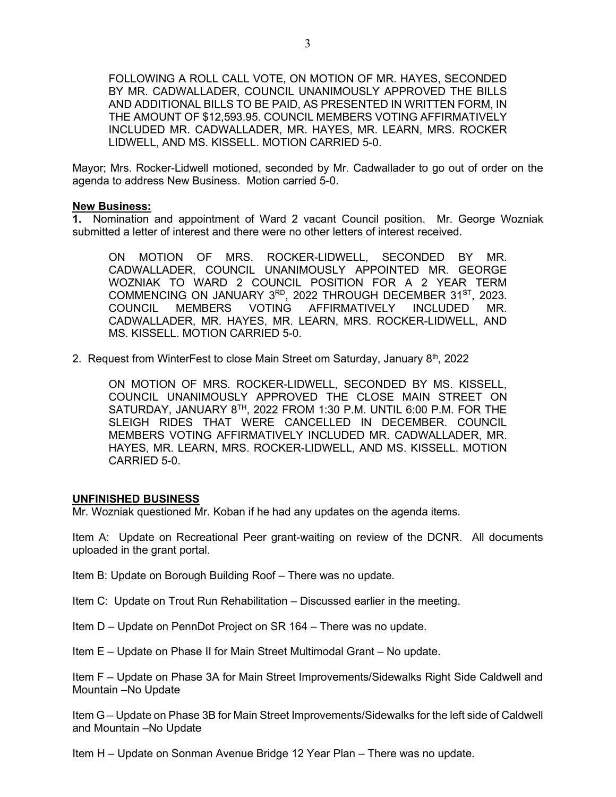FOLLOWING A ROLL CALL VOTE, ON MOTION OF MR. HAYES, SECONDED BY MR. CADWALLADER, COUNCIL UNANIMOUSLY APPROVED THE BILLS AND ADDITIONAL BILLS TO BE PAID, AS PRESENTED IN WRITTEN FORM, IN THE AMOUNT OF \$12,593.95. COUNCIL MEMBERS VOTING AFFIRMATIVELY INCLUDED MR. CADWALLADER, MR. HAYES, MR. LEARN, MRS. ROCKER LIDWELL, AND MS. KISSELL. MOTION CARRIED 5-0.

Mayor; Mrs. Rocker-Lidwell motioned, seconded by Mr. Cadwallader to go out of order on the agenda to address New Business. Motion carried 5-0.

#### **New Business:**

**1.** Nomination and appointment of Ward 2 vacant Council position. Mr. George Wozniak submitted a letter of interest and there were no other letters of interest received.

ON MOTION OF MRS. ROCKER-LIDWELL, SECONDED BY MR. CADWALLADER, COUNCIL UNANIMOUSLY APPOINTED MR. GEORGE WOZNIAK TO WARD 2 COUNCIL POSITION FOR A 2 YEAR TERM COMMENCING ON JANUARY 3<sup>RD</sup>, 2022 THROUGH DECEMBER 31<sup>ST</sup>, 2023. COUNCIL MEMBERS VOTING AFFIRMATIVELY INCLUDED MR. CADWALLADER, MR. HAYES, MR. LEARN, MRS. ROCKER-LIDWELL, AND MS. KISSELL. MOTION CARRIED 5-0.

2. Request from WinterFest to close Main Street om Saturday, January 8<sup>th</sup>, 2022

ON MOTION OF MRS. ROCKER-LIDWELL, SECONDED BY MS. KISSELL, COUNCIL UNANIMOUSLY APPROVED THE CLOSE MAIN STREET ON SATURDAY, JANUARY 8<sup>TH</sup>, 2022 FROM 1:30 P.M. UNTIL 6:00 P.M. FOR THE SLEIGH RIDES THAT WERE CANCELLED IN DECEMBER. COUNCIL MEMBERS VOTING AFFIRMATIVELY INCLUDED MR. CADWALLADER, MR. HAYES, MR. LEARN, MRS. ROCKER-LIDWELL, AND MS. KISSELL. MOTION CARRIED 5-0.

## **UNFINISHED BUSINESS**

Mr. Wozniak questioned Mr. Koban if he had any updates on the agenda items.

Item A: Update on Recreational Peer grant-waiting on review of the DCNR. All documents uploaded in the grant portal.

Item B: Update on Borough Building Roof – There was no update.

Item C: Update on Trout Run Rehabilitation – Discussed earlier in the meeting.

Item D – Update on PennDot Project on SR 164 – There was no update.

Item E – Update on Phase II for Main Street Multimodal Grant – No update.

Item F – Update on Phase 3A for Main Street Improvements/Sidewalks Right Side Caldwell and Mountain –No Update

Item G – Update on Phase 3B for Main Street Improvements/Sidewalks for the left side of Caldwell and Mountain –No Update

Item H – Update on Sonman Avenue Bridge 12 Year Plan – There was no update.